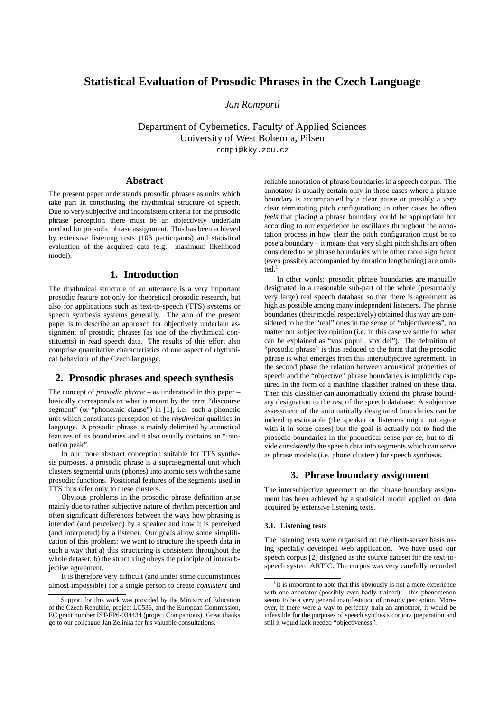# **Statistical Evaluation of Prosodic Phrases in the Czech Language**

*Jan Romportl*

Department of Cybernetics, Faculty of Applied Sciences University of West Bohemia, Pilsen

rompi@kky.zcu.cz

## **Abstract**

The present paper understands prosodic phrases as units which take part in constituting the rhythmical structure of speech. Due to very subjective and inconsistent criteria for the prosodic phrase perception there must be an objectively underlain method for prosodic phrase assignment. This has been achieved by extensive listening tests (103 participants) and statistical evaluation of the acquired data (e.g. maximum likelihood model).

# **1. Introduction**

The rhythmical structure of an utterance is a very important prosodic feature not only for theoretical prosodic research, but also for applications such as text-to-speech (TTS) systems or speech synthesis systems generally. The aim of the present paper is to describe an approach for objectively underlain assignment of prosodic phrases (as one of the rhythmical constituents) in read speech data. The results of this effort also comprise quantitative characteristics of one aspect of rhythmical behaviour of the Czech language.

# **2. Prosodic phrases and speech synthesis**

The concept of *prosodic phrase* – as understood in this paper – basically corresponds to what is meant by the term "discourse segment" (or "phonemic clause") in [1], i.e. such a phonetic unit which constitutes perception of the *rhythmical* qualities in language. A prosodic phrase is mainly delimited by acoustical features of its boundaries and it also usually contains an "intonation peak".

In our more abstract conception suitable for TTS synthesis purposes, a prosodic phrase is a suprasegmental unit which clusters segmental units (phones) into atomic sets with the same prosodic functions. Positional features of the segments used in TTS thus refer only to these clusters.

Obvious problems in the prosodic phrase definition arise mainly due to rather subjective nature of rhythm perception and often significant differences between the ways how phrasing is intended (and perceived) by a speaker and how it is perceived (and interpreted) by a listener. Our goals allow some simplification of this problem: we want to structure the speech data in such a way that a) this structuring is consistent throughout the whole dataset; b) the structuring obeys the principle of intersubjective agreement.

It is therefore very difficult (and under some circumstances almost impossible) for a single person to create *consistent* and reliable annotation of phrase boundaries in a speech corpus. The annotator is usually certain only in those cases where a phrase boundary is accompanied by a clear pause or possibly a *very* clear terminating pitch configuration; in other cases he often *feels* that placing a phrase boundary could be appropriate but according to our experience he oscillates throughout the annotation process in how clear the pitch configuration must be to pose a boundary – it means that very slight pitch shifts are often considered to be phrase boundaries while other more significant (even possibly accompanied by duration lengthening) are omitted.<sup>1</sup>

In other words: prosodic phrase boundaries are manually designated in a reasonable sub-part of the whole (presumably very large) real speech database so that there is agreement as high as possible among many independent listeners. The phrase boundaries (their model respectively) obtained this way are considered to be the "real" ones in the sense of "objectiveness", no matter our subjective opinion (i.e. in this case we settle for what can be explained as "vox populi, vox dei"). The definition of "prosodic phrase" is thus reduced to the form that the prosodic phrase is what emerges from this intersubjective agreement. In the second phase the relation between acoustical properties of speech and the "objective" phrase boundaries is implicitly captured in the form of a machine classifier trained on these data. Then this classifier can automatically extend the phrase boundary designation to the rest of the speech database. A subjective assessment of the automatically designated boundaries can be indeed questionable (the speaker or listeners might not agree with it in some cases) but the goal is actually not to find the prosodic boundaries in the phonetical sense *per se*, but to divide *consistently* the speech data into segments which can serve as phrase models (i.e. phone clusters) for speech synthesis.

# **3. Phrase boundary assignment**

The intersubjective agreement on the phrase boundary assignment has been achieved by a statistical model applied on data acquired by extensive listening tests.

### **3.1. Listening tests**

The listening tests were organised on the client-server basis using specially developed web application. We have used our speech corpus [2] designed as the source dataset for the text-tospeech system ARTIC. The corpus was very carefully recorded

Support for this work was provided by the Ministry of Education of the Czech Republic, project LC536, and the European Commission, EC grant number IST-FP6-034434 (project Companions). Great thanks go to our colleague Jan Zelinka for his valuable consultations.

<sup>&</sup>lt;sup>1</sup>It is important to note that this obviously is not a mere experience with one annotator (possibly even badly trained) – this phenomenon seems to be a very general manifestation of prosody perception. Moreover, if there were a way to perfectly train an annotator, it would be infeasible for the purposes of speech synthesis corpora preparation and still it would lack needed "objectiveness".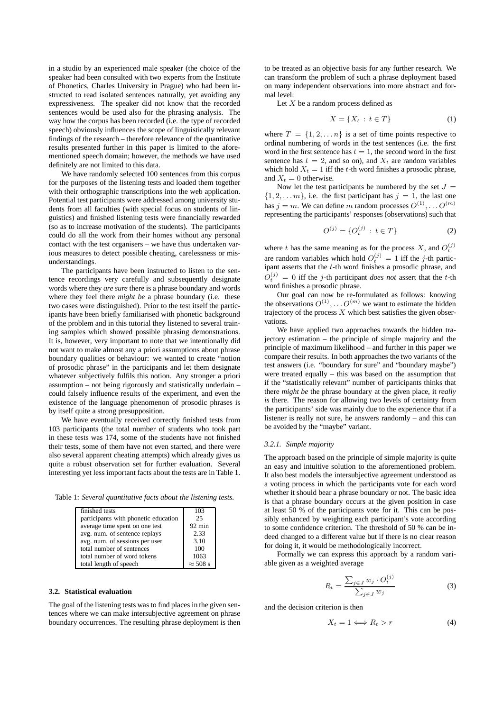in a studio by an experienced male speaker (the choice of the speaker had been consulted with two experts from the Institute of Phonetics, Charles University in Prague) who had been instructed to read isolated sentences naturally, yet avoiding any expressiveness. The speaker did not know that the recorded sentences would be used also for the phrasing analysis. The way how the corpus has been recorded (i.e. the type of recorded speech) obviously influences the scope of linguistically relevant findings of the research – therefore relevance of the quantitative results presented further in this paper is limited to the aforementioned speech domain; however, the methods we have used definitely are not limited to this data.

We have randomly selected 100 sentences from this corpus for the purposes of the listening tests and loaded them together with their orthographic transcriptions into the web application. Potential test participants were addressed among university students from all faculties (with special focus on students of linguistics) and finished listening tests were financially rewarded (so as to increase motivation of the students). The participants could do all the work from their homes without any personal contact with the test organisers – we have thus undertaken various measures to detect possible cheating, carelessness or misunderstandings.

The participants have been instructed to listen to the sentence recordings very carefully and subsequently designate words where they *are sure* there is a phrase boundary and words where they feel there *might be* a phrase boundary (i.e. these two cases were distinguished). Prior to the test itself the participants have been briefly familiarised with phonetic background of the problem and in this tutorial they listened to several training samples which showed possible phrasing demonstrations. It is, however, very important to note that we intentionally did not want to make almost any a priori assumptions about phrase boundary qualities or behaviour: we wanted to create "notion of prosodic phrase" in the participants and let them designate whatever subjectively fulfils this notion. Any stronger a priori assumption – not being rigorously and statistically underlain – could falsely influence results of the experiment, and even the existence of the language phenomenon of prosodic phrases is by itself quite a strong presupposition.

We have eventually received correctly finished tests from 103 participants (the total number of students who took part in these tests was 174, some of the students have not finished their tests, some of them have not even started, and there were also several apparent cheating attempts) which already gives us quite a robust observation set for further evaluation. Several interesting yet less important facts about the tests are in Table 1.

Table 1: *Several quantitative facts about the listening tests.*

| finished tests                       | 103              |
|--------------------------------------|------------------|
| participants with phonetic education | 25               |
| average time spent on one test       | $92 \text{ min}$ |
| avg. num. of sentence replays        | 2.33             |
| avg. num. of sessions per user       | 3.10             |
| total number of sentences            | 100              |
| total number of word tokens          | 1063             |
| total length of speech               | $\approx$ 508 s  |

### **3.2. Statistical evaluation**

The goal of the listening tests was to find places in the given sentences where we can make intersubjective agreement on phrase boundary occurrences. The resulting phrase deployment is then to be treated as an objective basis for any further research. We can transform the problem of such a phrase deployment based on many independent observations into more abstract and formal level:

Let  $X$  be a random process defined as

$$
X = \{X_t : t \in T\}
$$
 (1)

where  $T = \{1, 2, \dots n\}$  is a set of time points respective to ordinal numbering of words in the test sentences (i.e. the first word in the first sentence has  $t = 1$ , the second word in the first sentence has  $t = 2$ , and so on), and  $X_t$  are random variables which hold  $X_t = 1$  iff the t-th word finishes a prosodic phrase, and  $X_t = 0$  otherwise.

Now let the test participants be numbered by the set  $J =$  $\{1, 2, \ldots m\}$ , i.e. the first participant has  $j = 1$ , the last one has  $j = m$ . We can define m random processes  $O^{(1)}, \ldots O^{(m)}$ representing the participants' responses (observations) such that

$$
O^{(j)} = \{O_t^{(j)} : t \in T\}
$$
 (2)

where t has the same meaning as for the process X, and  $O_t^{(j)}$ are random variables which hold  $O_t^{(j)} = 1$  iff the j-th participant asserts that the t-th word finishes a prosodic phrase, and  $O_t^{(j)} = 0$  iff the j-th participant *does not* assert that the t-th word finishes a prosodic phrase.

Our goal can now be re-formulated as follows: knowing the observations  $O^{(1)}, \ldots O^{(m)}$  we want to estimate the hidden trajectory of the process  $X$  which best satisfies the given observations.

We have applied two approaches towards the hidden trajectory estimation – the principle of simple majority and the principle of maximum likelihood – and further in this paper we compare their results. In both approaches the two variants of the test answers (i.e. "boundary for sure" and "boundary maybe") were treated equally – this was based on the assumption that if the "statistically relevant" number of participants thinks that there *might be* the phrase boundary at the given place, it *really is* there. The reason for allowing two levels of certainty from the participants' side was mainly due to the experience that if a listener is really not sure, he answers randomly – and this can be avoided by the "maybe" variant.

#### *3.2.1. Simple majority*

The approach based on the principle of simple majority is quite an easy and intuitive solution to the aforementioned problem. It also best models the intersubjective agreement understood as a voting process in which the participants vote for each word whether it should bear a phrase boundary or not. The basic idea is that a phrase boundary occurs at the given position in case at least 50 % of the participants vote for it. This can be possibly enhanced by weighting each participant's vote according to some confidence criterion. The threshold of 50 % can be indeed changed to a different value but if there is no clear reason for doing it, it would be methodologically incorrect.

Formally we can express this approach by a random variable given as a weighted average

$$
R_t = \frac{\sum_{j \in J} w_j \cdot O_t^{(j)}}{\sum_{j \in J} w_j} \tag{3}
$$

and the decision criterion is then

$$
X_t = 1 \Longleftrightarrow R_t > r \tag{4}
$$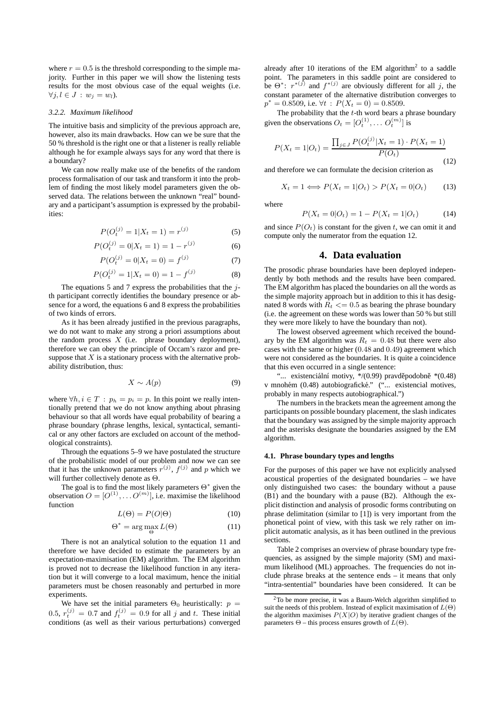where  $r = 0.5$  is the threshold corresponding to the simple majority. Further in this paper we will show the listening tests results for the most obvious case of the equal weights (i.e.  $\forall j, l \in J : w_j = w_l$ ).

#### *3.2.2. Maximum likelihood*

The intuitive basis and simplicity of the previous approach are, however, also its main drawbacks. How can we be sure that the 50 % threshold is the right one or that a listener is really reliable although he for example always says for any word that there is a boundary?

We can now really make use of the benefits of the random process formalisation of our task and transform it into the problem of finding the most likely model parameters given the observed data. The relations between the unknown "real" boundary and a participant's assumption is expressed by the probabilities:

$$
P(O_t^{(j)} = 1 | X_t = 1) = r^{(j)}
$$
\n(5)

$$
P(O_t^{(j)} = 0 | X_t = 1) = 1 - r^{(j)}
$$
 (6)

$$
P(O_t^{(j)} = 0 | X_t = 0) = f^{(j)}
$$
\n(7)

$$
P(O_t^{(j)} = 1 | X_t = 0) = 1 - f^{(j)}
$$
\n(8)

The equations 5 and 7 express the probabilities that the  $i$ th participant correctly identifies the boundary presence or absence for a word, the equations 6 and 8 express the probabilities of two kinds of errors.

As it has been already justified in the previous paragraphs, we do not want to make any strong a priori assumptions about the random process  $X$  (i.e. phrase boundary deployment), therefore we can obey the principle of Occam's razor and presuppose that  $X$  is a stationary process with the alternative probability distribution, thus:

$$
X \sim A(p) \tag{9}
$$

where  $\forall h, i \in T : p_h = p_i = p$ . In this point we really intentionally pretend that we do not know anything about phrasing behaviour so that all words have equal probability of bearing a phrase boundary (phrase lengths, lexical, syntactical, semantical or any other factors are excluded on account of the methodological constraints).

Through the equations 5–9 we have postulated the structure of the probabilistic model of our problem and now we can see that it has the unknown parameters  $r^{(j)}$ ,  $f^{(j)}$  and p which we will further collectively denote as Θ.

The goal is to find the most likely parameters  $\Theta^*$  given the observation  $O = [O^{(1)}, \dots O^{(m)}]$ , i.e. maximise the likelihood function

$$
L(\Theta) = P(O|\Theta) \tag{10}
$$

$$
\Theta^* = \arg\max_{\Theta} L(\Theta) \tag{11}
$$

There is not an analytical solution to the equation 11 and therefore we have decided to estimate the parameters by an expectation-maximisation (EM) algorithm. The EM algorithm is proved not to decrease the likelihood function in any iteration but it will converge to a local maximum, hence the initial parameters must be chosen reasonably and perturbed in more experiments.

We have set the initial parameters  $\Theta_0$  heuristically:  $p =$ 0.5,  $r_t^{(j)} = 0.7$  and  $f_t^{(j)} = 0.9$  for all j and t. These initial conditions (as well as their various perturbations) converged

already after 10 iterations of the EM algorithm<sup>2</sup> to a saddle point. The parameters in this saddle point are considered to be  $\Theta^*$ :  $r^{*(j)}$  and  $f^{*(j)}$  are obviously different for all j, the constant parameter of the alternative distribution converges to  $p^* = 0.8509$ , i.e.  $\forall t$  :  $P(X_t = 0) = 0.8509$ .

The probability that the  $t$ -th word bears a phrase boundary given the observations  $O_t = [O_t^{(1)}, \dots O_t^{(m)}]$  is

$$
P(X_t = 1 | O_t) = \frac{\prod_{j \in J} P(O_t^{(j)} | X_t = 1) \cdot P(X_t = 1)}{P(O_t)}
$$
\n(12)

and therefore we can formulate the decision criterion as

$$
X_t = 1 \Longleftrightarrow P(X_t = 1 | O_t) > P(X_t = 0 | O_t) \tag{13}
$$

where

$$
P(X_t = 0|O_t) = 1 - P(X_t = 1|O_t)
$$
\n(14)

and since  $P(O_t)$  is constant for the given t, we can omit it and compute only the numerator from the equation 12.

# **4. Data evaluation**

The prosodic phrase boundaries have been deployed independently by both methods and the results have been compared. The EM algorithm has placed the boundaries on all the words as the simple majority approach but in addition to this it has designated 8 words with  $R_t \leq 0.5$  as bearing the phrase boundary (i.e. the agreement on these words was lower than 50 % but still they were more likely to have the boundary than not).

The lowest observed agreement which received the boundary by the EM algorithm was  $R_t = 0.48$  but there were also cases with the same or higher (0.48 and 0.49) agreement which were not considered as the boundaries. It is quite a coincidence that this even occurred in a single sentence:

"... existenciální motivy,  $\frac{\ast}{(0.99)}$  pravděpodobně  $\frac{\ast}{(0.48)}$ v mnohém (0.48) autobiografické." ("... existencial motives, probably in many respects autobiographical.")

The numbers in the brackets mean the agreement among the participants on possible boundary placement, the slash indicates that the boundary was assigned by the simple majority approach and the asterisks designate the boundaries assigned by the EM algorithm.

### **4.1. Phrase boundary types and lengths**

For the purposes of this paper we have not explicitly analysed acoustical properties of the designated boundaries – we have only distinguished two cases: the boundary without a pause (B1) and the boundary with a pause (B2). Although the explicit distinction and analysis of prosodic forms contributing on phrase delimitation (similar to [1]) is very important from the phonetical point of view, with this task we rely rather on implicit automatic analysis, as it has been outlined in the previous sections.

Table 2 comprises an overview of phrase boundary type frequencies, as assigned by the simple majority (SM) and maximum likelihood (ML) approaches. The frequencies do not include phrase breaks at the sentence ends – it means that only "intra-sentential" boundaries have been considered. It can be

<sup>2</sup>To be more precise, it was a Baum-Welch algorithm simplified to suit the needs of this problem. Instead of explicit maximisation of  $L(\Theta)$ the algorithm maximises  $P(X|O)$  by iterative gradient changes of the parameters  $\Theta$  – this process ensures growth of  $\overline{L}(\Theta)$ .